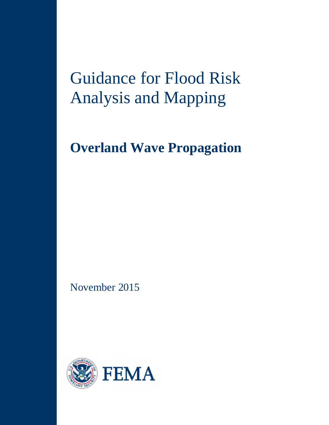# Guidance for Flood Risk Analysis and Mapping

## **Overland Wave Propagation**

November 2015

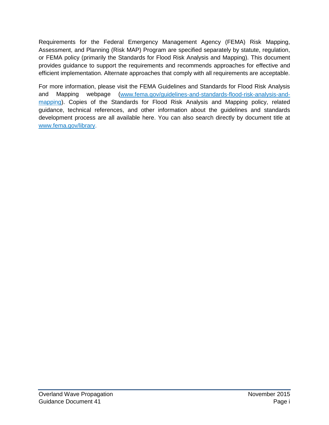Requirements for the Federal Emergency Management Agency (FEMA) Risk Mapping, Assessment, and Planning (Risk MAP) Program are specified separately by statute, regulation, or FEMA policy (primarily the Standards for Flood Risk Analysis and Mapping). This document provides guidance to support the requirements and recommends approaches for effective and efficient implementation. Alternate approaches that comply with all requirements are acceptable.

For more information, please visit the FEMA Guidelines and Standards for Flood Risk Analysis and Mapping webpage [\(www.fema.gov/guidelines-and-standards-flood-risk-analysis-and](http://www.fema.gov/guidelines-and-standards-flood-risk-analysis-and-mapping)[mapping\)](http://www.fema.gov/guidelines-and-standards-flood-risk-analysis-and-mapping). Copies of the Standards for Flood Risk Analysis and Mapping policy, related guidance, technical references, and other information about the guidelines and standards development process are all available here. You can also search directly by document title at [www.fema.gov/library.](http://www.fema.gov/library)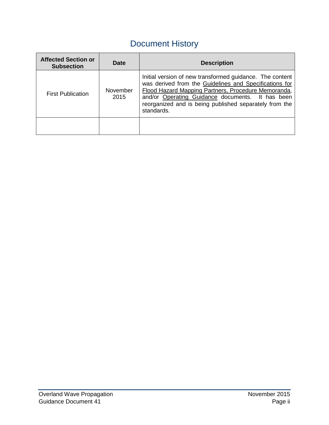## Document History

| <b>Affected Section or</b><br><b>Subsection</b> | Date             | <b>Description</b>                                                                                                                                                                                                                                                                                    |
|-------------------------------------------------|------------------|-------------------------------------------------------------------------------------------------------------------------------------------------------------------------------------------------------------------------------------------------------------------------------------------------------|
| <b>First Publication</b>                        | November<br>2015 | Initial version of new transformed guidance. The content<br>was derived from the Guidelines and Specifications for<br>Flood Hazard Mapping Partners, Procedure Memoranda,<br>and/or Operating Guidance documents. It has been<br>reorganized and is being published separately from the<br>standards. |
|                                                 |                  |                                                                                                                                                                                                                                                                                                       |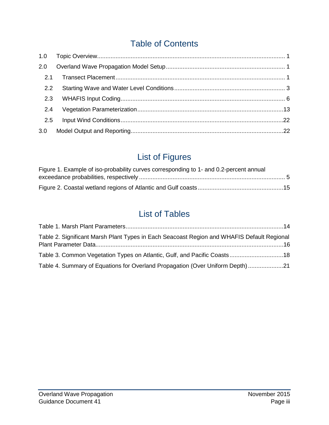## Table of Contents

| 2.0           |  |
|---------------|--|
| 2.1           |  |
| $2.2^{\circ}$ |  |
| 2.3           |  |
| 2.4           |  |
| 2.5           |  |
| 3.0           |  |

## List of Figures

| Figure 1. Example of iso-probability curves corresponding to 1- and 0.2-percent annual |  |
|----------------------------------------------------------------------------------------|--|
|                                                                                        |  |
|                                                                                        |  |

## List of Tables

| Table 2. Significant Marsh Plant Types in Each Seacoast Region and WHAFIS Default Regional |  |
|--------------------------------------------------------------------------------------------|--|
| Table 3. Common Vegetation Types on Atlantic, Gulf, and Pacific Coasts 18                  |  |
| Table 4. Summary of Equations for Overland Propagation (Over Uniform Depth)21              |  |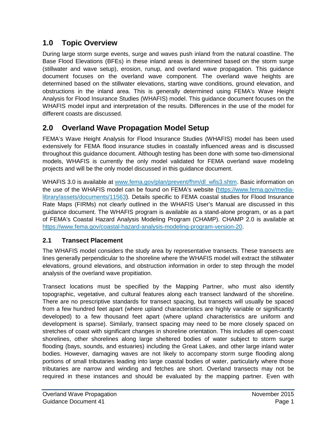### **1.0 Topic Overview**

During large storm surge events, surge and waves push inland from the natural coastline. The Base Flood Elevations (BFEs) in these inland areas is determined based on the storm surge (stillwater and wave setup), erosion, runup, and overland wave propagation. This guidance document focuses on the overland wave component. The overland wave heights are determined based on the stillwater elevations, starting wave conditions, ground elevation, and obstructions in the inland area. This is generally determined using FEMA's Wave Height Analysis for Flood Insurance Studies (WHAFIS) model. This guidance document focuses on the WHAFIS model input and interpretation of the results. Differences in the use of the model for different coasts are discussed.

## **2.0 Overland Wave Propagation Model Setup**

FEMA's Wave Height Analysis for Flood Insurance Studies (WHAFIS) model has been used extensively for FEMA flood insurance studies in coastally influenced areas and is discussed throughout this guidance document. Although testing has been done with some two-dimensional models, WHAFIS is currently the only model validated for FEMA overland wave modeling projects and will be the only model discussed in this guidance document.

WHAFIS 3.0 is available at www.fema.gov/plan/prevent/fhm/dl\_wfis3.shtm. Basic information on the use of the WHAFIS model can be found on FEMA's website [\(https://www.fema.gov/media](https://www.fema.gov/media-library/assets/documents/11563)[library/assets/documents/11563\)](https://www.fema.gov/media-library/assets/documents/11563). Details specific to FEMA coastal studies for Flood Insurance Rate Maps (FIRMs) not clearly outlined in the WHAFIS User's Manual are discussed in this guidance document. The WHAFIS program is available as a stand-alone program, or as a part of FEMA's Coastal Hazard Analysis Modeling Program (CHAMP). CHAMP 2.0 is available at [https://www.fema.gov/coastal-hazard-analysis-modeling-program-version-20.](https://www.fema.gov/coastal-hazard-analysis-modeling-program-version-20)

#### **2.1 Transect Placement**

The WHAFIS model considers the study area by representative transects. These transects are lines generally perpendicular to the shoreline where the WHAFIS model will extract the stillwater elevations, ground elevations, and obstruction information in order to step through the model analysis of the overland wave propitiation.

Transect locations must be specified by the Mapping Partner, who must also identify topographic, vegetative, and cultural features along each transect landward of the shoreline. There are no prescriptive standards for transect spacing, but transects will usually be spaced from a few hundred feet apart (where upland characteristics are highly variable or significantly developed) to a few thousand feet apart (where upland characteristics are uniform and development is sparse). Similarly, transect spacing may need to be more closely spaced on stretches of coast with significant changes in shoreline orientation. This includes all open-coast shorelines, other shorelines along large sheltered bodies of water subject to storm surge flooding (bays, sounds, and estuaries) including the Great Lakes, and other large inland water bodies. However, damaging waves are not likely to accompany storm surge flooding along portions of small tributaries leading into large coastal bodies of water, particularly where those tributaries are narrow and winding and fetches are short. Overland transects may not be required in these instances and should be evaluated by the mapping partner. Even with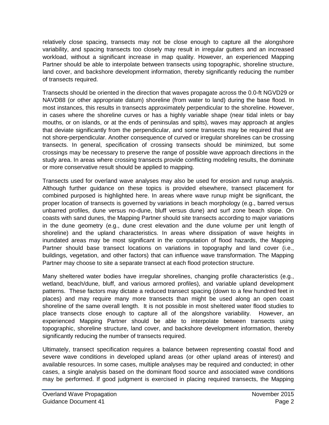relatively close spacing, transects may not be close enough to capture all the alongshore variability, and spacing transects too closely may result in irregular gutters and an increased workload, without a significant increase in map quality. However, an experienced Mapping Partner should be able to interpolate between transects using topographic, shoreline structure, land cover, and backshore development information, thereby significantly reducing the number of transects required.

Transects should be oriented in the direction that waves propagate across the 0.0-ft NGVD29 or NAVD88 (or other appropriate datum) shoreline (from water to land) during the base flood. In most instances, this results in transects approximately perpendicular to the shoreline. However, in cases where the shoreline curves or has a highly variable shape (near tidal inlets or bay mouths, or on islands, or at the ends of peninsulas and spits), waves may approach at angles that deviate significantly from the perpendicular, and some transects may be required that are not shore-perpendicular. Another consequence of curved or irregular shorelines can be crossing transects. In general, specification of crossing transects should be minimized, but some crossings may be necessary to preserve the range of possible wave approach directions in the study area. In areas where crossing transects provide conflicting modeling results, the dominate or more conservative result should be applied to mapping.

Transects used for overland wave analyses may also be used for erosion and runup analysis. Although further guidance on these topics is provided elsewhere, transect placement for combined purposed is highlighted here. In areas where wave runup might be significant, the proper location of transects is governed by variations in beach morphology (e.g., barred versus unbarred profiles, dune versus no-dune, bluff versus dune) and surf zone beach slope. On coasts with sand dunes, the Mapping Partner should site transects according to major variations in the dune geometry (e.g., dune crest elevation and the dune volume per unit length of shoreline) and the upland characteristics. In areas where dissipation of wave heights in inundated areas may be most significant in the computation of flood hazards, the Mapping Partner should base transect locations on variations in topography and land cover (i.e., buildings, vegetation, and other factors) that can influence wave transformation. The Mapping Partner may choose to site a separate transect at each flood protection structure.

Many sheltered water bodies have irregular shorelines, changing profile characteristics (e.g., wetland, beach/dune, bluff, and various armored profiles), and variable upland development patterns. These factors may dictate a reduced transect spacing (down to a few hundred feet in places) and may require many more transects than might be used along an open coast shoreline of the same overall length. It is not possible in most sheltered water flood studies to place transects close enough to capture all of the alongshore variability. However, an experienced Mapping Partner should be able to interpolate between transects using topographic, shoreline structure, land cover, and backshore development information, thereby significantly reducing the number of transects required.

Ultimately, transect specification requires a balance between representing coastal flood and severe wave conditions in developed upland areas (or other upland areas of interest) and available resources. In some cases, multiple analyses may be required and conducted; in other cases, a single analysis based on the dominant flood source and associated wave conditions may be performed. If good judgment is exercised in placing required transects, the Mapping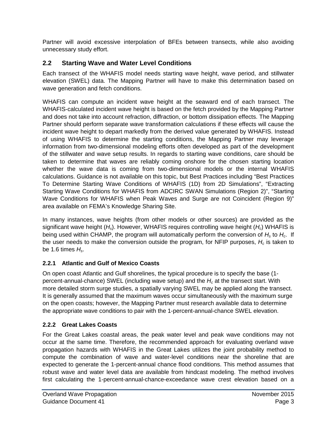Partner will avoid excessive interpolation of BFEs between transects, while also avoiding unnecessary study effort.

#### **2.2 Starting Wave and Water Level Conditions**

Each transect of the WHAFIS model needs starting wave height, wave period, and stillwater elevation (SWEL) data. The Mapping Partner will have to make this determination based on wave generation and fetch conditions.

WHAFIS can compute an incident wave height at the seaward end of each transect. The WHAFIS-calculated incident wave height is based on the fetch provided by the Mapping Partner and does not take into account refraction, diffraction, or bottom dissipation effects. The Mapping Partner should perform separate wave transformation calculations if these effects will cause the incident wave height to depart markedly from the derived value generated by WHAFIS. Instead of using WHAFIS to determine the starting conditions, the Mapping Partner may leverage information from two-dimensional modeling efforts often developed as part of the development of the stillwater and wave setup results. In regards to starting wave conditions, care should be taken to determine that waves are reliably coming onshore for the chosen starting location whether the wave data is coming from two-dimensional models or the internal WHAFIS calculations. Guidance is not available on this topic, but Best Practices including "Best Practices To Determine Starting Wave Conditions of WHAFIS (1D) from 2D Simulations", "Extracting Starting Wave Conditions for WHAFIS from ADCIRC SWAN Simulations (Region 2)", "Starting Wave Conditions for WHAFIS when Peak Waves and Surge are not Coincident (Region 9)" area available on FEMA's Knowledge Sharing Site.

In many instances, wave heights (from other models or other sources) are provided as the significant wave height (*Hs*). However, WHAFIS requires controlling wave height (*Hc*) WHAFIS is being used within CHAMP, the program will automatically perform the conversion of *Hs* to *Hc*. If the user needs to make the conversion outside the program, for NFIP purposes,  $H_c$  is taken to be 1.6 times *Hs*.

#### **2.2.1 Atlantic and Gulf of Mexico Coasts**

On open coast Atlantic and Gulf shorelines, the typical procedure is to specify the base (1 percent-annual-chance) SWEL (including wave setup) and the *Hc* at the transect start. With more detailed storm surge studies, a spatially varying SWEL may be applied along the transect. It is generally assumed that the maximum waves occur simultaneously with the maximum surge on the open coasts; however, the Mapping Partner must research available data to determine the appropriate wave conditions to pair with the 1-percent-annual-chance SWEL elevation.

#### **2.2.2 Great Lakes Coasts**

For the Great Lakes coastal areas, the peak water level and peak wave conditions may not occur at the same time. Therefore, the recommended approach for evaluating overland wave propagation hazards with WHAFIS in the Great Lakes utilizes the joint probability method to compute the combination of wave and water-level conditions near the shoreline that are expected to generate the 1-percent-annual chance flood conditions. This method assumes that robust wave and water level data are available from hindcast modeling. The method involves first calculating the 1-percent-annual-chance-exceedance wave crest elevation based on a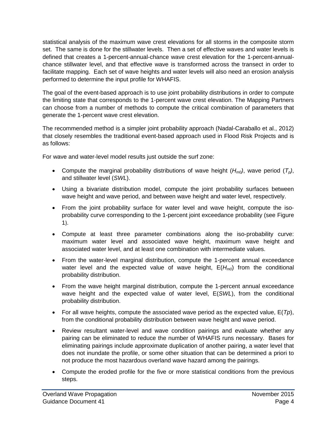statistical analysis of the maximum wave crest elevations for all storms in the composite storm set. The same is done for the stillwater levels. Then a set of effective waves and water levels is defined that creates a 1-percent-annual-chance wave crest elevation for the 1-percent-annualchance stillwater level, and that effective wave is transformed across the transect in order to facilitate mapping. Each set of wave heights and water levels will also need an erosion analysis performed to determine the input profile for WHAFIS.

The goal of the event-based approach is to use joint probability distributions in order to compute the limiting state that corresponds to the 1-percent wave crest elevation. The Mapping Partners can choose from a number of methods to compute the critical combination of parameters that generate the 1-percent wave crest elevation.

The recommended method is a simpler joint probability approach (Nadal-Caraballo et al., 2012) that closely resembles the traditional event-based approach used in Flood Risk Projects and is as follows:

For wave and water-level model results just outside the surf zone:

- Compute the marginal probability distributions of wave height  $(H_{m0})$ , wave period  $(T_o)$ , and stillwater level (*SWL*).
- Using a bivariate distribution model, compute the joint probability surfaces between wave height and wave period, and between wave height and water level, respectively.
- From the joint probability surface for water level and wave height, compute the isoprobability curve corresponding to the 1-percent joint exceedance probability (see [Figure](#page-8-0)  [1](#page-8-0)).
- Compute at least three parameter combinations along the iso-probability curve: maximum water level and associated wave height, maximum wave height and associated water level, and at least one combination with intermediate values.
- From the water-level marginal distribution, compute the 1-percent annual exceedance water level and the expected value of wave height,  $E(H_{m0})$  from the conditional probability distribution.
- From the wave height marginal distribution, compute the 1-percent annual exceedance wave height and the expected value of water level, E(*SWL*), from the conditional probability distribution.
- For all wave heights, compute the associated wave period as the expected value, E(*Tp*), from the conditional probability distribution between wave height and wave period.
- Review resultant water-level and wave condition pairings and evaluate whether any pairing can be eliminated to reduce the number of WHAFIS runs necessary. Bases for eliminating pairings include approximate duplication of another pairing, a water level that does not inundate the profile, or some other situation that can be determined a priori to not produce the most hazardous overland wave hazard among the pairings.
- Compute the eroded profile for the five or more statistical conditions from the previous steps.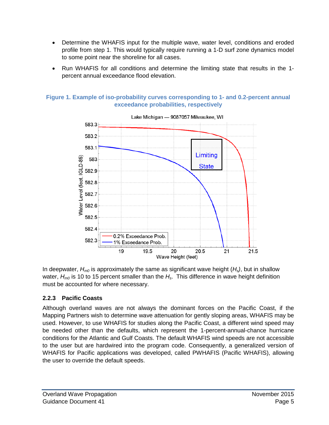- Determine the WHAFIS input for the multiple wave, water level, conditions and eroded profile from step 1. This would typically require running a 1-D surf zone dynamics model to some point near the shoreline for all cases.
- Run WHAFIS for all conditions and determine the limiting state that results in the 1 percent annual exceedance flood elevation.



<span id="page-8-0"></span>**Figure 1. Example of iso-probability curves corresponding to 1- and 0.2-percent annual exceedance probabilities, respectively**

In deepwater,  $H_{m0}$  is approximately the same as significant wave height  $(H_s)$ , but in shallow water,  $H_{m0}$  is 10 to 15 percent smaller than the  $H_{s}$ . This difference in wave height definition must be accounted for where necessary.

#### **2.2.3 Pacific Coasts**

Although overland waves are not always the dominant forces on the Pacific Coast, if the Mapping Partners wish to determine wave attenuation for gently sloping areas, WHAFIS may be used. However, to use WHAFIS for studies along the Pacific Coast, a different wind speed may be needed other than the defaults, which represent the 1-percent-annual-chance hurricane conditions for the Atlantic and Gulf Coasts. The default WHAFIS wind speeds are not accessible to the user but are hardwired into the program code. Consequently, a generalized version of WHAFIS for Pacific applications was developed, called PWHAFIS (Pacific WHAFIS), allowing the user to override the default speeds.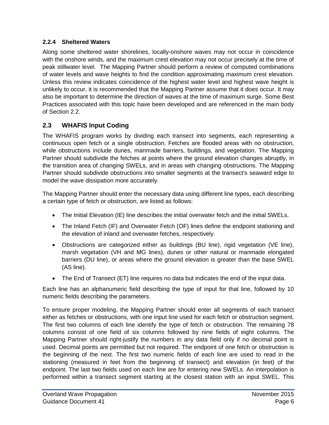#### **2.2.4 Sheltered Waters**

Along some sheltered water shorelines, locally-onshore waves may not occur in coincidence with the onshore winds, and the maximum crest elevation may not occur precisely at the time of peak stillwater level. The Mapping Partner should perform a review of computed combinations of water levels and wave heights to find the condition approximating maximum crest elevation. Unless this review indicates coincidence of the highest water level and highest wave height is unlikely to occur, it is recommended that the Mapping Partner assume that it does occur. It may also be important to determine the direction of waves at the time of maximum surge. Some Best Practices associated with this topic have been developed and are referenced in the main body of Section 2.2.

#### **2.3 WHAFIS Input Coding**

The WHAFIS program works by dividing each transect into segments, each representing a continuous open fetch or a single obstruction. Fetches are flooded areas with no obstruction, while obstructions include dunes, manmade barriers, buildings, and vegetation. The Mapping Partner should subdivide the fetches at points where the ground elevation changes abruptly, in the transition area of changing SWELs, and in areas with changing obstructions. The Mapping Partner should subdivide obstructions into smaller segments at the transect's seaward edge to model the wave dissipation more accurately.

The Mapping Partner should enter the necessary data using different line types, each describing a certain type of fetch or obstruction, are listed as follows:

- The Initial Elevation (IE) line describes the initial overwater fetch and the initial SWELs.
- The Inland Fetch (IF) and Overwater Fetch (OF) lines define the endpoint stationing and the elevation of inland and overwater fetches, respectively.
- Obstructions are categorized either as buildings (BU line), rigid vegetation (VE line), marsh vegetation (VH and MG lines), dunes or other natural or manmade elongated barriers (DU line), or areas where the ground elevation is greater than the base SWEL (AS line).
- The End of Transect (ET) line requires no data but indicates the end of the input data.

Each line has an alphanumeric field describing the type of input for that line, followed by 10 numeric fields describing the parameters.

To ensure proper modeling, the Mapping Partner should enter all segments of each transect either as fetches or obstructions, with one input line used for each fetch or obstruction segment. The first two columns of each line identify the type of fetch or obstruction. The remaining 78 columns consist of one field of six columns followed by nine fields of eight columns. The Mapping Partner should right-justify the numbers in any data field only if no decimal point is used. Decimal points are permitted but not required. The endpoint of one fetch or obstruction is the beginning of the next. The first two numeric fields of each line are used to read in the stationing (measured in feet from the beginning of transect) and elevation (in feet) of the endpoint. The last two fields used on each line are for entering new SWELs. An interpolation is performed within a transect segment starting at the closest station with an input SWEL. This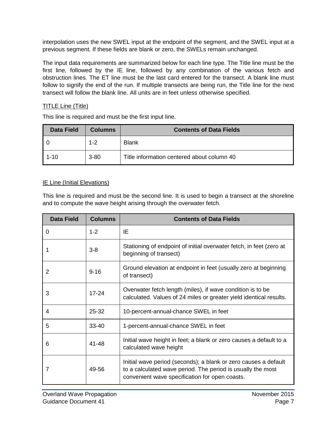interpolation uses the new SWEL input at the endpoint of the segment, and the SWEL input at a previous segment. If these fields are blank or zero, the SWELs remain unchanged.

The input data requirements are summarized below for each line type. The Title line must be the first line, followed by the IE line, followed by any combination of the various fetch and obstruction lines. The ET line must be the last card entered for the transect. A blank line must follow to signify the end of the run. If multiple transects are being run, the Title line for the next transect will follow the blank line. All units are in feet unless otherwise specified.

#### TITLE Line (Title)

This line is required and must be the first input line.

| <b>Data Field</b> | <b>Columns</b> | <b>Contents of Data Fields</b>             |
|-------------------|----------------|--------------------------------------------|
|                   | $1 - 2$        | <b>Blank</b>                               |
| $1 - 10$          | $3 - 80$       | Title information centered about column 40 |

#### **IE Line (Initial Elevations)**

This line is required and must be the second line. It is used to begin a transect at the shoreline and to compute the wave height arising through the overwater fetch.

| <b>Data Field</b> | <b>Columns</b> | <b>Contents of Data Fields</b>                                                                                                                                                   |
|-------------------|----------------|----------------------------------------------------------------------------------------------------------------------------------------------------------------------------------|
| 0                 | $1 - 2$        | IE                                                                                                                                                                               |
|                   | $3 - 8$        | Stationing of endpoint of initial overwater fetch, in feet (zero at<br>beginning of transect)                                                                                    |
| 2                 | $9 - 16$       | Ground elevation at endpoint in feet (usually zero at beginning<br>of transect)                                                                                                  |
| 3                 | $17 - 24$      | Overwater fetch length (miles), if wave condition is to be<br>calculated. Values of 24 miles or greater yield identical results.                                                 |
| 4                 | 25-32          | 10-percent-annual-chance SWEL in feet                                                                                                                                            |
| 5                 | $33 - 40$      | 1-percent-annual-chance SWEL in feet                                                                                                                                             |
| 6                 | 41-48          | Initial wave height in feet; a blank or zero causes a default to a<br>calculated wave height                                                                                     |
| 7                 | 49-56          | Initial wave period (seconds); a blank or zero causes a default<br>to a calculated wave period. The period is usually the most<br>convenient wave specification for open coasts. |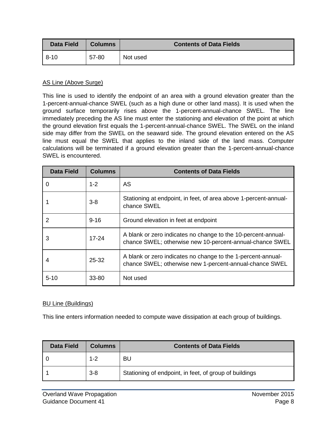| Data Field | <b>Columns</b> | <b>Contents of Data Fields</b> |
|------------|----------------|--------------------------------|
| $8 - 10$   | 57-80          | Not used                       |

#### AS Line (Above Surge)

This line is used to identify the endpoint of an area with a ground elevation greater than the 1-percent-annual-chance SWEL (such as a high dune or other land mass). It is used when the ground surface temporarily rises above the 1-percent-annual-chance SWEL. The line immediately preceding the AS line must enter the stationing and elevation of the point at which the ground elevation first equals the 1-percent-annual-chance SWEL. The SWEL on the inland side may differ from the SWEL on the seaward side. The ground elevation entered on the AS line must equal the SWEL that applies to the inland side of the land mass. Computer calculations will be terminated if a ground elevation greater than the 1-percent-annual-chance SWEL is encountered.

| <b>Data Field</b> | <b>Columns</b> | <b>Contents of Data Fields</b>                                                                                            |
|-------------------|----------------|---------------------------------------------------------------------------------------------------------------------------|
| 0                 | $1 - 2$        | AS                                                                                                                        |
|                   | $3 - 8$        | Stationing at endpoint, in feet, of area above 1-percent-annual-<br>chance SWEL                                           |
| 2                 | $9 - 16$       | Ground elevation in feet at endpoint                                                                                      |
| 3                 | $17 - 24$      | A blank or zero indicates no change to the 10-percent-annual-<br>chance SWEL; otherwise new 10-percent-annual-chance SWEL |
| 4                 | $25 - 32$      | A blank or zero indicates no change to the 1-percent-annual-<br>chance SWEL; otherwise new 1-percent-annual-chance SWEL   |
| $5 - 10$          | 33-80          | Not used                                                                                                                  |

#### BU Line (Buildings)

This line enters information needed to compute wave dissipation at each group of buildings.

| <b>Data Field</b> | <b>Columns</b> | <b>Contents of Data Fields</b>                         |
|-------------------|----------------|--------------------------------------------------------|
|                   | $1 - 2$        | BU                                                     |
|                   | $3-8$          | Stationing of endpoint, in feet, of group of buildings |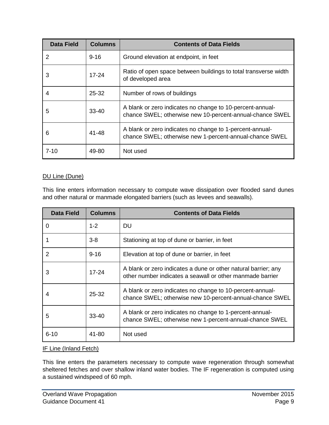| <b>Data Field</b> | <b>Columns</b> | <b>Contents of Data Fields</b>                                                                                        |
|-------------------|----------------|-----------------------------------------------------------------------------------------------------------------------|
| 2                 | $9 - 16$       | Ground elevation at endpoint, in feet                                                                                 |
| 3                 | $17 - 24$      | Ratio of open space between buildings to total transverse width<br>of developed area                                  |
| 4                 | $25 - 32$      | Number of rows of buildings                                                                                           |
| 5                 | $33 - 40$      | A blank or zero indicates no change to 10-percent-annual-<br>chance SWEL; otherwise new 10-percent-annual-chance SWEL |
| 6                 | 41-48          | A blank or zero indicates no change to 1-percent-annual-<br>chance SWEL; otherwise new 1-percent-annual-chance SWEL   |
| $7 - 10$          | 49-80          | Not used                                                                                                              |

#### DU Line (Dune)

This line enters information necessary to compute wave dissipation over flooded sand dunes and other natural or manmade elongated barriers (such as levees and seawalls).

| <b>Data Field</b> | <b>Columns</b> | <b>Contents of Data Fields</b>                                                                                              |
|-------------------|----------------|-----------------------------------------------------------------------------------------------------------------------------|
| 0                 | $1 - 2$        | DU                                                                                                                          |
|                   | $3 - 8$        | Stationing at top of dune or barrier, in feet                                                                               |
| $\overline{2}$    | $9 - 16$       | Elevation at top of dune or barrier, in feet                                                                                |
| 3                 | $17 - 24$      | A blank or zero indicates a dune or other natural barrier; any<br>other number indicates a seawall or other manmade barrier |
| 4                 | 25-32          | A blank or zero indicates no change to 10-percent-annual-<br>chance SWEL; otherwise new 10-percent-annual-chance SWEL       |
| 5                 | $33 - 40$      | A blank or zero indicates no change to 1-percent-annual-<br>chance SWEL; otherwise new 1-percent-annual-chance SWEL         |
| $6 - 10$          | 41-80          | Not used                                                                                                                    |

#### IF Line (Inland Fetch)

This line enters the parameters necessary to compute wave regeneration through somewhat sheltered fetches and over shallow inland water bodies. The IF regeneration is computed using a sustained windspeed of 60 mph.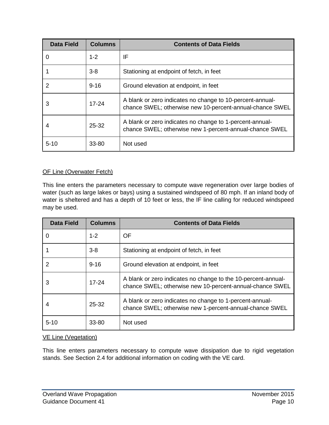| <b>Data Field</b> | <b>Columns</b> | <b>Contents of Data Fields</b>                                                                                        |
|-------------------|----------------|-----------------------------------------------------------------------------------------------------------------------|
| 0                 | $1 - 2$        | IF                                                                                                                    |
|                   | $3 - 8$        | Stationing at endpoint of fetch, in feet                                                                              |
| $\overline{2}$    | $9 - 16$       | Ground elevation at endpoint, in feet                                                                                 |
| 3                 | $17 - 24$      | A blank or zero indicates no change to 10-percent-annual-<br>chance SWEL; otherwise new 10-percent-annual-chance SWEL |
|                   | 25-32          | A blank or zero indicates no change to 1-percent-annual-<br>chance SWEL; otherwise new 1-percent-annual-chance SWEL   |
| $5 - 10$          | 33-80          | Not used                                                                                                              |

#### OF Line (Overwater Fetch)

This line enters the parameters necessary to compute wave regeneration over large bodies of water (such as large lakes or bays) using a sustained windspeed of 80 mph. If an inland body of water is sheltered and has a depth of 10 feet or less, the IF line calling for reduced windspeed may be used.

| <b>Data Field</b> | <b>Columns</b> | <b>Contents of Data Fields</b>                                                                                            |
|-------------------|----------------|---------------------------------------------------------------------------------------------------------------------------|
| 0                 | $1 - 2$        | <b>OF</b>                                                                                                                 |
|                   | $3 - 8$        | Stationing at endpoint of fetch, in feet                                                                                  |
| 2                 | $9 - 16$       | Ground elevation at endpoint, in feet                                                                                     |
| 3                 | $17 - 24$      | A blank or zero indicates no change to the 10-percent-annual-<br>chance SWEL; otherwise new 10-percent-annual-chance SWEL |
| 4                 | $25 - 32$      | A blank or zero indicates no change to 1-percent-annual-<br>chance SWEL; otherwise new 1-percent-annual-chance SWEL       |
| $5 - 10$          | $33 - 80$      | Not used                                                                                                                  |

#### VE Line (Vegetation)

This line enters parameters necessary to compute wave dissipation due to rigid vegetation stands. See Section 2.4 for additional information on coding with the VE card.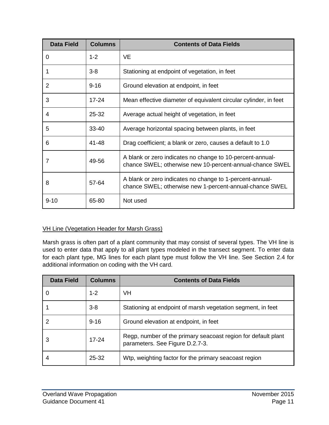| <b>Data Field</b> | <b>Columns</b> | <b>Contents of Data Fields</b>                                                                                        |
|-------------------|----------------|-----------------------------------------------------------------------------------------------------------------------|
| 0                 | $1 - 2$        | <b>VE</b>                                                                                                             |
| 1                 | $3 - 8$        | Stationing at endpoint of vegetation, in feet                                                                         |
| 2                 | $9 - 16$       | Ground elevation at endpoint, in feet                                                                                 |
| 3                 | $17 - 24$      | Mean effective diameter of equivalent circular cylinder, in feet                                                      |
| 4                 | 25-32          | Average actual height of vegetation, in feet                                                                          |
| 5                 | 33-40          | Average horizontal spacing between plants, in feet                                                                    |
| 6                 | $41 - 48$      | Drag coefficient; a blank or zero, causes a default to 1.0                                                            |
| 7                 | 49-56          | A blank or zero indicates no change to 10-percent-annual-<br>chance SWEL; otherwise new 10-percent-annual-chance SWEL |
| 8                 | 57-64          | A blank or zero indicates no change to 1-percent-annual-<br>chance SWEL; otherwise new 1-percent-annual-chance SWEL   |
| $9 - 10$          | 65-80          | Not used                                                                                                              |

#### VH Line (Vegetation Header for Marsh Grass)

Marsh grass is often part of a plant community that may consist of several types. The VH line is used to enter data that apply to all plant types modeled in the transect segment. To enter data for each plant type, MG lines for each plant type must follow the VH line. See Section 2.4 for additional information on coding with the VH card.

| <b>Data Field</b> | <b>Columns</b> | <b>Contents of Data Fields</b>                                                                   |  |  |  |
|-------------------|----------------|--------------------------------------------------------------------------------------------------|--|--|--|
|                   | $1 - 2$        | <b>VH</b>                                                                                        |  |  |  |
|                   | $3 - 8$        | Stationing at endpoint of marsh vegetation segment, in feet                                      |  |  |  |
| 2                 | $9 - 16$       | Ground elevation at endpoint, in feet                                                            |  |  |  |
| 3                 | $17 - 24$      | Regp, number of the primary seacoast region for default plant<br>parameters. See Figure D.2.7-3. |  |  |  |
|                   | 25-32          | Wtp, weighting factor for the primary seacoast region                                            |  |  |  |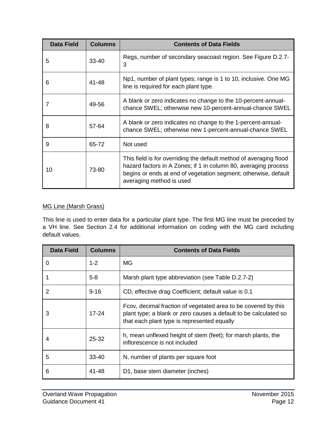| <b>Data Field</b> | <b>Columns</b> | <b>Contents of Data Fields</b>                                                                                                                                                                                                       |
|-------------------|----------------|--------------------------------------------------------------------------------------------------------------------------------------------------------------------------------------------------------------------------------------|
| 5                 | 33-40          | Regs, number of secondary seacoast region. See Figure D.2.7-<br>3                                                                                                                                                                    |
| 6                 | 41-48          | Np1, number of plant types; range is 1 to 10, inclusive. One MG<br>line is required for each plant type.                                                                                                                             |
|                   | 49-56          | A blank or zero indicates no change to the 10-percent-annual-<br>chance SWEL; otherwise new 10-percent-annual-chance SWEL                                                                                                            |
| 8                 | 57-64          | A blank or zero indicates no change to the 1-percent-annual-<br>chance SWEL; otherwise new 1-percent-annual-chance SWEL                                                                                                              |
| 9                 | 65-72          | Not used                                                                                                                                                                                                                             |
| 10                | 73-80          | This field is for overriding the default method of averaging flood<br>hazard factors in A Zones; if 1 in column 80, averaging process<br>begins or ends at end of vegetation segment; otherwise, default<br>averaging method is used |

#### MG Line (Marsh Grass)

This line is used to enter data for a particular plant type. The first MG line must be preceded by a VH line. See Section 2.4 for additional information on coding with the MG card including default values.

| <b>Data Field</b> | <b>Columns</b> | <b>Contents of Data Fields</b>                                                                                                                                                    |
|-------------------|----------------|-----------------------------------------------------------------------------------------------------------------------------------------------------------------------------------|
| 0                 | $1 - 2$        | MG                                                                                                                                                                                |
|                   | $5 - 8$        | Marsh plant type abbreviation (see Table D.2.7-2)                                                                                                                                 |
| 2                 | $9 - 16$       | CD, effective drag Coefficient; default value is 0.1                                                                                                                              |
| 3                 | $17 - 24$      | Fcov, decimal fraction of vegetated area to be covered by this<br>plant type; a blank or zero causes a default to be calculated so<br>that each plant type is represented equally |
|                   | 25-32          | h, mean unflexed height of stem (feet); for marsh plants, the<br>inflorescence is not included                                                                                    |
| 5                 | $33 - 40$      | N, number of plants per square foot                                                                                                                                               |
| 6                 | 41-48          | D1, base stem diameter (inches)                                                                                                                                                   |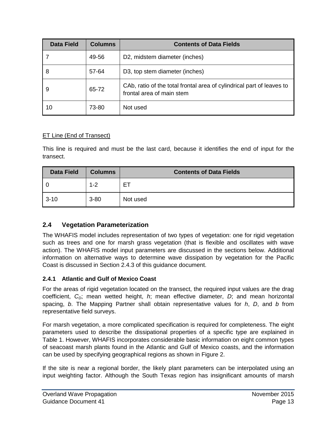| <b>Data Field</b> | <b>Columns</b> | <b>Contents of Data Fields</b>                                                                     |  |  |  |
|-------------------|----------------|----------------------------------------------------------------------------------------------------|--|--|--|
|                   | 49-56          | D2, midstem diameter (inches)                                                                      |  |  |  |
| 8                 | 57-64          | D3, top stem diameter (inches)                                                                     |  |  |  |
| 9                 | 65-72          | CAb, ratio of the total frontal area of cylindrical part of leaves to<br>frontal area of main stem |  |  |  |
| 10                | 73-80          | Not used                                                                                           |  |  |  |

#### **ET Line (End of Transect)**

This line is required and must be the last card, because it identifies the end of input for the transect.

| <b>Data Field</b> | <b>Columns</b> | <b>Contents of Data Fields</b> |  |  |  |  |
|-------------------|----------------|--------------------------------|--|--|--|--|
| l 0               | $1 - 2$        | Е.                             |  |  |  |  |
| $3 - 10$          | $3 - 80$       | Not used                       |  |  |  |  |

#### **2.4 Vegetation Parameterization**

The WHAFIS model includes representation of two types of vegetation: one for rigid vegetation such as trees and one for marsh grass vegetation (that is flexible and oscillates with wave action). The WHAFIS model input parameters are discussed in the sections below. Additional information on alternative ways to determine wave dissipation by vegetation for the Pacific Coast is discussed in Section [2.4.3](#page-20-0) of this guidance document.

#### **2.4.1 Atlantic and Gulf of Mexico Coast**

For the areas of rigid vegetation located on the transect, the required input values are the drag coefficient, C<sub>D</sub>; mean wetted height, *h*; mean effective diameter, *D*; and mean horizontal spacing, *b*. The Mapping Partner shall obtain representative values for *h*, *D*, and *b* from representative field surveys.

For marsh vegetation, a more complicated specification is required for completeness. The eight parameters used to describe the dissipational properties of a specific type are explained in [Table 1.](#page-17-0) However, WHAFIS incorporates considerable basic information on eight common types of seacoast marsh plants found in the Atlantic and Gulf of Mexico coasts, and the information can be used by specifying geographical regions as shown in [Figure 2.](#page-17-1)

If the site is near a regional border, the likely plant parameters can be interpolated using an input weighting factor. Although the South Texas region has insignificant amounts of marsh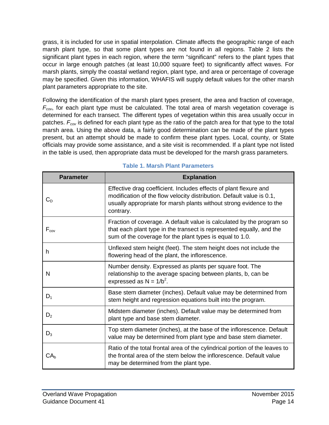grass, it is included for use in spatial interpolation. Climate affects the geographic range of each marsh plant type, so that some plant types are not found in all regions. [Table 2](#page-19-0) lists the significant plant types in each region, where the term "significant" refers to the plant types that occur in large enough patches (at least 10,000 square feet) to significantly affect waves. For marsh plants, simply the coastal wetland region, plant type, and area or percentage of coverage may be specified. Given this information, WHAFIS will supply default values for the other marsh plant parameters appropriate to the site.

Following the identification of the marsh plant types present, the area and fraction of coverage,  $F_{cov}$ , for each plant type must be calculated. The total area of marsh vegetation coverage is determined for each transect. The different types of vegetation within this area usually occur in patches.  $F_{cov}$  is defined for each plant type as the ratio of the patch area for that type to the total marsh area. Using the above data, a fairly good determination can be made of the plant types present, but an attempt should be made to confirm these plant types. Local, county, or State officials may provide some assistance, and a site visit is recommended. If a plant type not listed in the table is used, then appropriate data must be developed for the marsh grass parameters.

<span id="page-17-1"></span><span id="page-17-0"></span>

| <b>Parameter</b> | <b>Explanation</b>                                                                                                                                                                                                             |
|------------------|--------------------------------------------------------------------------------------------------------------------------------------------------------------------------------------------------------------------------------|
| $\mathrm{C_{D}}$ | Effective drag coefficient. Includes effects of plant flexure and<br>modification of the flow velocity distribution. Default value is 0.1,<br>usually appropriate for marsh plants without strong evidence to the<br>contrary. |
| $F_{cov}$        | Fraction of coverage. A default value is calculated by the program so<br>that each plant type in the transect is represented equally, and the<br>sum of the coverage for the plant types is equal to 1.0.                      |
| h.               | Unflexed stem height (feet). The stem height does not include the<br>flowering head of the plant, the inflorescence.                                                                                                           |
| N                | Number density. Expressed as plants per square foot. The<br>relationship to the average spacing between plants, b, can be<br>expressed as $N = 1/b^2$ .                                                                        |
| $D_1$            | Base stem diameter (inches). Default value may be determined from<br>stem height and regression equations built into the program.                                                                                              |
| $D_2$            | Midstem diameter (inches). Default value may be determined from<br>plant type and base stem diameter.                                                                                                                          |
| $D_3$            | Top stem diameter (inches), at the base of the inflorescence. Default<br>value may be determined from plant type and base stem diameter.                                                                                       |
| CA <sub>b</sub>  | Ratio of the total frontal area of the cylindrical portion of the leaves to<br>the frontal area of the stem below the inflorescence. Default value<br>may be determined from the plant type.                                   |

#### **Table 1. Marsh Plant Parameters**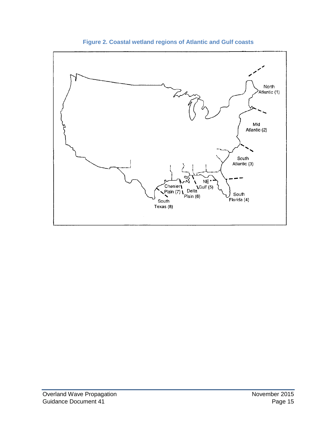

**Figure 2. Coastal wetland regions of Atlantic and Gulf coasts**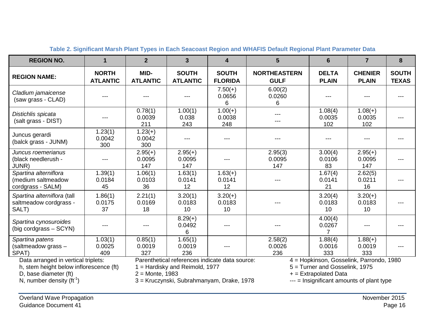<span id="page-19-0"></span>

| <b>REGION NO.</b>                                                                                       | 1                                                                                                     | $\overline{2}$             | $\overline{3}$                        | $\overline{4}$                 | 5                                                                                                     | $6\phantom{1}6$              | $\overline{7}$                 | 8                            |
|---------------------------------------------------------------------------------------------------------|-------------------------------------------------------------------------------------------------------|----------------------------|---------------------------------------|--------------------------------|-------------------------------------------------------------------------------------------------------|------------------------------|--------------------------------|------------------------------|
| <b>REGION NAME:</b>                                                                                     | <b>NORTH</b><br><b>ATLANTIC</b>                                                                       | MID-<br><b>ATLANTIC</b>    | <b>SOUTH</b><br><b>ATLANTIC</b>       | <b>SOUTH</b><br><b>FLORIDA</b> | <b>NORTHEASTERN</b><br><b>GULF</b>                                                                    | <b>DELTA</b><br><b>PLAIN</b> | <b>CHENIER</b><br><b>PLAIN</b> | <b>SOUTH</b><br><b>TEXAS</b> |
| Cladium jamaicense<br>(saw grass - CLAD)                                                                | ---                                                                                                   |                            |                                       | $7.50(+)$<br>0.0656<br>6       | 6.00(2)<br>0.0260<br>6                                                                                |                              |                                |                              |
| Distichlis spicata<br>(salt grass - DIST)                                                               | ---                                                                                                   | 0.78(1)<br>0.0039<br>211   | 1.00(1)<br>0.038<br>243               | $1.00(+)$<br>0.0038<br>248     | ---                                                                                                   | 1.08(4)<br>0.0035<br>102     | $1.08(+)$<br>0.0035<br>102     | ---                          |
| Juncus gerardi<br>(balck grass - JUNM)                                                                  | 1.23(1)<br>0.0042<br>300                                                                              | $1.23(+)$<br>0.0042<br>300 |                                       |                                |                                                                                                       |                              |                                |                              |
| Juncus roemerianus<br>(black needlerush -<br>JUNR)                                                      | $---$                                                                                                 | $2.95(+)$<br>0.0095<br>147 | $\overline{2.95}(+)$<br>0.0095<br>147 |                                | 2.95(3)<br>0.0095<br>147                                                                              | 3.00(4)<br>0.0106<br>83      | $2.95(+)$<br>0.0095<br>147     |                              |
| Spartina alterniflora<br>(medium saltmeadow<br>cordgrass - SALM)                                        | 1.39(1)<br>0.0184<br>45                                                                               | 1.06(1)<br>0.0103<br>36    | 1.63(1)<br>0.0141<br>12               | $1.63(+)$<br>0.0141<br>12      |                                                                                                       | 1.67(4)<br>0.0141<br>21      | 2.62(5)<br>0.0211<br>16        |                              |
| Spartina alterniflora (tall<br>saltmeadow cordgrass -<br>SALT)                                          | 1.86(1)<br>0.0175<br>37                                                                               | 2.21(1)<br>0.0169<br>18    | 3.20(1)<br>0.0183<br>10               | $3.20(+)$<br>0.0183<br>10      |                                                                                                       | 3.20(4)<br>0.0183<br>10      | $3.20(+)$<br>0.0183<br>10      |                              |
| Spartina cynosuroides<br>(big cordgrass – SCYN)                                                         | $---$                                                                                                 | ---                        | $8.29(+)$<br>0.0492<br>6              | ---                            |                                                                                                       | 4.00(4)<br>0.0267            | ---                            |                              |
| Spartina patens<br>(saltmeadow grass -<br>SPAT)                                                         | 1.03(1)<br>0.0025<br>409                                                                              | 0.85(1)<br>0.0019<br>327   | 1.65(1)<br>0.0019<br>236              |                                | 2.58(2)<br>0.0026<br>236                                                                              | 1.88(4)<br>0.0016<br>333     | $1.88(+)$<br>0.0019<br>333     |                              |
| Data arranged in vertical triplets:<br>h, stem height below inflorescence (ft)<br>D, base diameter (ft) | Parenthetical references indicate data source:<br>1 = Hardisky and Reimold, 1977<br>$2 = Monte, 1983$ |                            |                                       |                                | 4 = Hopkinson, Gosselink, Parrondo, 1980<br>5 = Turner and Gosselink, 1975<br>$+$ = Extrapolated Data |                              |                                |                              |

**Table 2. Significant Marsh Plant Types in Each Seacoast Region and WHAFIS Default Regional Plant Parameter Data**

N, number density  $(ft^{-1})$ 

) 3 = Kruczynski, Subrahmanyam, Drake, 1978 --- = Insignificant amounts of plant type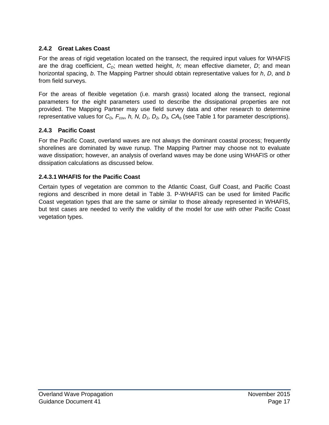#### **2.4.2 Great Lakes Coast**

For the areas of rigid vegetation located on the transect, the required input values for WHAFIS are the drag coefficient,  $C<sub>D</sub>$ ; mean wetted height, *h*; mean effective diameter, *D*; and mean horizontal spacing, *b*. The Mapping Partner should obtain representative values for *h*, *D*, and *b* from field surveys.

For the areas of flexible vegetation (i.e. marsh grass) located along the transect, regional parameters for the eight parameters used to describe the dissipational properties are not provided. The Mapping Partner may use field survey data and other research to determine representative values for  $C_{D}$ ,  $F_{cov}$ , h, N, D<sub>1</sub>, D<sub>2</sub>, D<sub>3</sub>, CA<sub>b</sub> (see [Table 1](#page-17-0) for parameter descriptions).

#### <span id="page-20-0"></span>**2.4.3 Pacific Coast**

For the Pacific Coast, overland waves are not always the dominant coastal process; frequently shorelines are dominated by wave runup. The Mapping Partner may choose not to evaluate wave dissipation; however, an analysis of overland waves may be done using WHAFIS or other dissipation calculations as discussed below.

#### **2.4.3.1 WHAFIS for the Pacific Coast**

<span id="page-20-1"></span>Certain types of vegetation are common to the Atlantic Coast, Gulf Coast, and Pacific Coast regions and described in more detail in [Table 3.](#page-20-1) P-WHAFIS can be used for limited Pacific Coast vegetation types that are the same or similar to those already represented in WHAFIS, but test cases are needed to verify the validity of the model for use with other Pacific Coast vegetation types.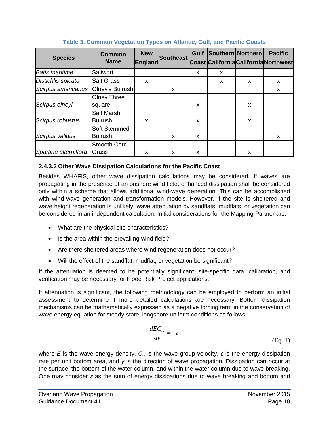| <b>Species</b>        | <b>Common</b><br><b>Name</b> | <b>New</b><br>England | Southeast | <b>Gulf</b> | Southern Northern |   | <b>Pacific</b><br><b>Coast California California Northwest</b> |
|-----------------------|------------------------------|-----------------------|-----------|-------------|-------------------|---|----------------------------------------------------------------|
| <b>Batis maritime</b> | lSaltwort                    |                       |           | X           | x                 |   |                                                                |
| Distichlis spicata    | <b>Salt Grass</b>            | X                     |           |             | X                 | X | X                                                              |
| Scirpus americanus    | Olney's Bulrush              |                       | x         |             |                   |   | X                                                              |
|                       | <b>Olney Three</b>           |                       |           |             |                   |   |                                                                |
| Scirpus olneyi        | square                       |                       |           | X           |                   | x |                                                                |
|                       | Salt Marsh                   |                       |           |             |                   |   |                                                                |
| Scirpus robustus      | Bulrush                      | X                     |           | X           |                   | x |                                                                |
|                       | Soft Stemmed                 |                       |           |             |                   |   |                                                                |
| Scirpus validus       | <b>Bulrush</b>               |                       | x         | X           |                   |   | X                                                              |
|                       | Smooth Cord                  |                       |           |             |                   |   |                                                                |
| Spartina alterniflora | Grass                        | X                     | x         | X           |                   | x |                                                                |

#### **Table 3. Common Vegetation Types on Atlantic, Gulf, and Pacific Coasts**

#### **2.4.3.2 Other Wave Dissipation Calculations for the Pacific Coast**

Besides WHAFIS, other wave dissipation calculations may be considered. If waves are propagating in the presence of an onshore wind field, enhanced dissipation shall be considered only within a scheme that allows additional wind-wave generation. This can be accomplished with wind-wave generation and transformation models. However, if the site is sheltered and wave height regeneration is unlikely, wave attenuation by sandflats, mudflats, or vegetation can be considered in an independent calculation. Initial considerations for the Mapping Partner are:

- What are the physical site characteristics?
- Is the area within the prevailing wind field?
- Are there sheltered areas where wind regeneration does not occur?
- Will the effect of the sandflat, mudflat, or vegetation be significant?

If the attenuation is deemed to be potentially significant, site-specific data, calibration, and verification may be necessary for Flood Risk Project applications.

If attenuation is significant, the following methodology can be employed to perform an initial assessment to determine if more detailed calculations are necessary. Bottom dissipation mechanisms can be mathematically expressed as a negative forcing term in the conservation of wave energy equation for steady-state, longshore uniform conditions as follows:

$$
\frac{dEC_G}{dy} = -\varepsilon \tag{Eq. 1}
$$

where *E* is the wave energy density,  $C_G$  is the wave group velocity,  $\varepsilon$  is the energy dissipation rate per unit bottom area, and *y* is the direction of wave propagation. Dissipation can occur at the surface, the bottom of the water column, and within the water column due to wave breaking. One may consider *ε* as the sum of energy dissipations due to wave breaking and bottom and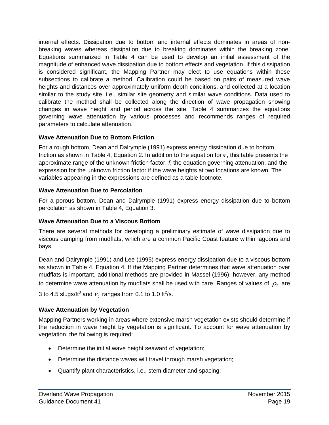internal effects. Dissipation due to bottom and internal effects dominates in areas of nonbreaking waves whereas dissipation due to breaking dominates within the breaking zone. Equations summarized in [Table 4](#page-24-0) can be used to develop an initial assessment of the magnitude of enhanced wave dissipation due to bottom effects and vegetation. If this dissipation is considered significant, the Mapping Partner may elect to use equations within these subsections to calibrate a method. Calibration could be based on pairs of measured wave heights and distances over approximately uniform depth conditions, and collected at a location similar to the study site, i.e., similar site geometry and similar wave conditions. Data used to calibrate the method shall be collected along the direction of wave propagation showing changes in wave height and period across the site. [Table 4](#page-24-0) summarizes the equations governing wave attenuation by various processes and recommends ranges of required parameters to calculate attenuation.

#### **Wave Attenuation Due to Bottom Friction**

For a rough bottom, Dean and Dalrymple (1991) express energy dissipation due to bottom friction as shown in [Table 4,](#page-24-0) Equation 2. In addition to the equation for  $\varepsilon$ , this table presents the approximate range of the unknown friction factor, *f*, the equation governing attenuation, and the expression for the unknown friction factor if the wave heights at two locations are known. The variables appearing in the expressions are defined as a table footnote.

#### **Wave Attenuation Due to Percolation**

For a porous bottom, Dean and Dalrymple (1991) express energy dissipation due to bottom percolation as shown in [Table 4,](#page-24-0) Equation 3.

#### **Wave Attenuation Due to a Viscous Bottom**

There are several methods for developing a preliminary estimate of wave dissipation due to viscous damping from mudflats, which are a common Pacific Coast feature within lagoons and bays.

Dean and Dalrymple (1991) and Lee (1995) express energy dissipation due to a viscous bottom as shown in [Table 4,](#page-24-0) Equation 4. If the Mapping Partner determines that wave attenuation over mudflats is important, additional methods are provided in Massel (1996); however, any method to determine wave attenuation by mudflats shall be used with care. Ranges of values of  $\rho_2$  are

3 to 4.5 slugs/ft $^3$  and  $v_{_2}$  ranges from 0.1 to 1.0 ft $^2$ /s.

#### **Wave Attenuation by Vegetation**

Mapping Partners working in areas where extensive marsh vegetation exists should determine if the reduction in wave height by vegetation is significant. To account for wave attenuation by vegetation, the following is required:

- Determine the initial wave height seaward of vegetation;
- Determine the distance waves will travel through marsh vegetation;
- Quantify plant characteristics, i.e., stem diameter and spacing;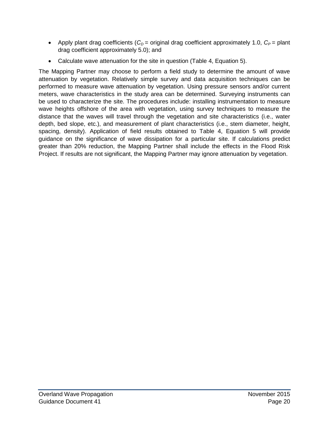- Apply plant drag coefficients  $(C_D = \text{original drag coefficient approximately } 1.0, C_P = \text{plant}$ drag coefficient approximately 5.0); and
- Calculate wave attenuation for the site in question [\(Table 4,](#page-24-0) Equation 5).

The Mapping Partner may choose to perform a field study to determine the amount of wave attenuation by vegetation. Relatively simple survey and data acquisition techniques can be performed to measure wave attenuation by vegetation. Using pressure sensors and/or current meters, wave characteristics in the study area can be determined. Surveying instruments can be used to characterize the site. The procedures include: installing instrumentation to measure wave heights offshore of the area with vegetation, using survey techniques to measure the distance that the waves will travel through the vegetation and site characteristics (i.e., water depth, bed slope, etc.), and measurement of plant characteristics (i.e., stem diameter, height, spacing, density). Application of field results obtained to [Table 4,](#page-24-0) Equation 5 will provide guidance on the significance of wave dissipation for a particular site. If calculations predict greater than 20% reduction, the Mapping Partner shall include the effects in the Flood Risk Project. If results are not significant, the Mapping Partner may ignore attenuation by vegetation.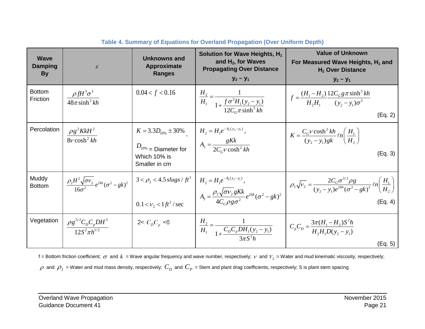<span id="page-24-0"></span>

| <b>Wave</b><br>Damping<br><b>By</b> | $\mathcal E$                                                                | Unknowns and<br>Approximate<br><b>Ranges</b>                                                                                   | Solution for Wave Heights, $H_1$<br>and $H_2$ , for Waves<br><b>Propagating Over Distance</b><br>$y_2 - y_1$                           | <b>Value of Unknown</b><br>For Measured Wave Heights, H <sub>1</sub> and<br>$H2$ Over Distance<br>$y_2 - y_1$                                            |
|-------------------------------------|-----------------------------------------------------------------------------|--------------------------------------------------------------------------------------------------------------------------------|----------------------------------------------------------------------------------------------------------------------------------------|----------------------------------------------------------------------------------------------------------------------------------------------------------|
| <b>Bottom</b><br>Friction           | $\rho f H^3 \sigma^3$<br>$\sqrt{48\pi \sinh^3 kh}$                          | 0.04 < f < 0.16                                                                                                                | $\frac{H_2}{H_1} = \frac{1}{1 + \frac{f \sigma^3 H_1 (y_2 - y_1)}{12 C_c \pi \sinh^3 kh}}$                                             | $f = \frac{(H_1 - H_2)}{H_2 H_1} \frac{12 C_G g \pi \sinh^3 kh}{(y_2 - y_1)\sigma^3}$<br>(Eq. 2)                                                         |
| Percolation                         | $\frac{\rho g^2 K k H^2}{8v \cosh^2 kh}$                                    | $K = 3.3D_{10\%} \pm 30\%$<br>$D_{10\%}$ = Diameter for $A_2 = \frac{gKk}{2C_c v \cosh^2 kh}$<br>Which 10% is<br>Smaller in cm | $H_2 = H_1 e^{-A_2(y_2-y_1)},$                                                                                                         | $K = \frac{C_G v \cosh^2 kh}{(v_2 - v_1) g k} \ln\left(\frac{H_1}{H_2}\right)$<br>(Eq. 3)                                                                |
| Muddy<br><b>Bottom</b>              | $\frac{\rho_2 H^2 \sqrt{\sigma} v_2}{16\sigma^2} e^{2kh} (\sigma^2 - gk)^2$ | $3 < \rho_2 < 4.5$ slugs / $ft^3$<br>$0.1 < v_2 < 1 \frac{ft^2}{\sec^2 \theta}$                                                | $H_2 = H_1 e^{-A_3(y_2 - y_1)}$ ,<br>$A_3 = \frac{\rho_2 \sqrt{\sigma v_2} gK k}{4C_0 \rho \sigma \sigma^2} e^{2kh} (\sigma^2 - gk)^2$ | $\left[ \rho_2 \sqrt{V_2} = \frac{2C_G \sigma^{3/2} \rho g}{(y_2 - y_1)e^{2kh} (\sigma^2 - gk)^2} \ln \left( \frac{H_1}{H_2} \right) \right]$<br>(Eq. 4) |
| Vegetation                          | $\frac{\rho g^{3/2} C_p C_p D H^3}{12 S^2 \pi h^{1/2}}$                     | 2< $C_p C_p < 6$                                                                                                               | $\frac{H_2}{H_1} = \frac{1}{1 + \frac{C_p C_p D H_1 (y_2 - y_1)}{2 - \frac{C_2^2 L_1}{2}}}$                                            | $\left(C_p C_p = \frac{3\pi (H_1 - H_2)S^2 h}{H_2 H_1 D(v_2 - v_1)}\right)$<br>(Eq. 5)                                                                   |

**Table 4. Summary of Equations for Overland Propagation (Over Uniform Depth)**

f = Bottom friction coefficient;  $\sigma$  and  $k$  = Wave angular frequency and wave number, respectively;  $\nu$  and  $V_2$  = Water and mud kinematic viscosity, respectively;  $\rho$  and  $\rho_2$  = Water and mud mass density, respectively;  $C_D$  and  $C_P$  = Stem and plant drag coefficients, respectively; S is plant stem spacing